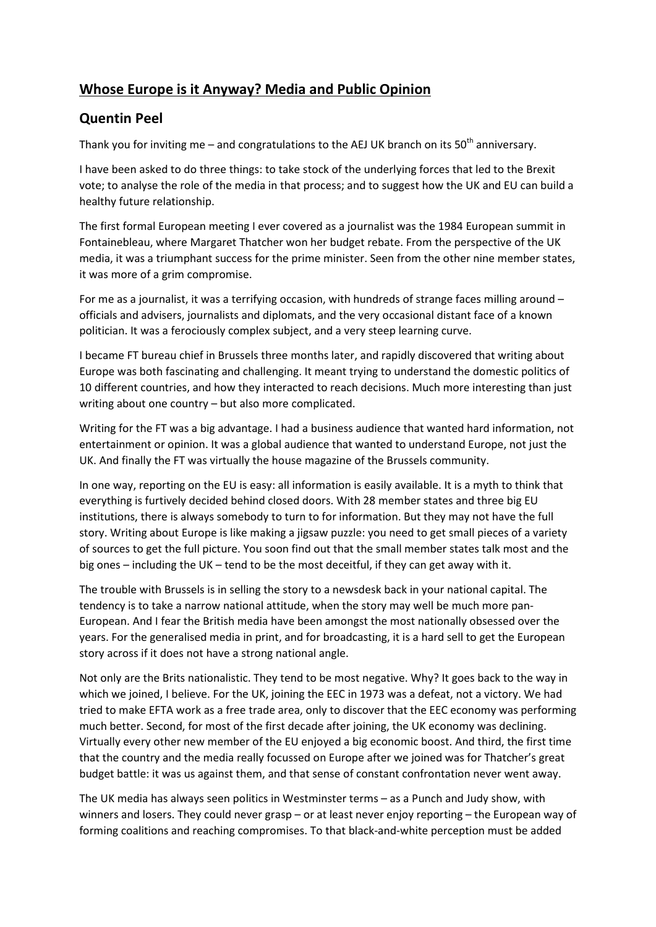## Whose Europe is it Anyway? Media and Public Opinion

## Quentin Peel

Thank you for inviting me – and congratulations to the AEJ UK branch on its  $50<sup>th</sup>$  anniversary.

I have been asked to do three things: to take stock of the underlying forces that led to the Brexit vote; to analyse the role of the media in that process; and to suggest how the UK and EU can build a healthy future relationship.

The first formal European meeting I ever covered as a journalist was the 1984 European summit in Fontainebleau, where Margaret Thatcher won her budget rebate. From the perspective of the UK media, it was a triumphant success for the prime minister. Seen from the other nine member states, it was more of a grim compromise.

For me as a journalist, it was a terrifying occasion, with hundreds of strange faces milling around – officials and advisers, journalists and diplomats, and the very occasional distant face of a known politician. It was a ferociously complex subject, and a very steep learning curve.

I became FT bureau chief in Brussels three months later, and rapidly discovered that writing about Europe was both fascinating and challenging. It meant trying to understand the domestic politics of 10 different countries, and how they interacted to reach decisions. Much more interesting than just writing about one country – but also more complicated.

Writing for the FT was a big advantage. I had a business audience that wanted hard information, not entertainment or opinion. It was a global audience that wanted to understand Europe, not just the UK. And finally the FT was virtually the house magazine of the Brussels community.

In one way, reporting on the EU is easy: all information is easily available. It is a myth to think that everything is furtively decided behind closed doors. With 28 member states and three big EU institutions, there is always somebody to turn to for information. But they may not have the full story. Writing about Europe is like making a jigsaw puzzle: you need to get small pieces of a variety of sources to get the full picture. You soon find out that the small member states talk most and the big ones – including the UK – tend to be the most deceitful, if they can get away with it.

The trouble with Brussels is in selling the story to a newsdesk back in your national capital. The tendency is to take a narrow national attitude, when the story may well be much more pan-European. And I fear the British media have been amongst the most nationally obsessed over the years. For the generalised media in print, and for broadcasting, it is a hard sell to get the European story across if it does not have a strong national angle.

Not only are the Brits nationalistic. They tend to be most negative. Why? It goes back to the way in which we joined, I believe. For the UK, joining the EEC in 1973 was a defeat, not a victory. We had tried to make EFTA work as a free trade area, only to discover that the EEC economy was performing much better. Second, for most of the first decade after joining, the UK economy was declining. Virtually every other new member of the EU enjoyed a big economic boost. And third, the first time that the country and the media really focussed on Europe after we joined was for Thatcher's great budget battle: it was us against them, and that sense of constant confrontation never went away.

The UK media has always seen politics in Westminster terms – as a Punch and Judy show, with winners and losers. They could never grasp – or at least never enjoy reporting – the European way of forming coalitions and reaching compromises. To that black-and-white perception must be added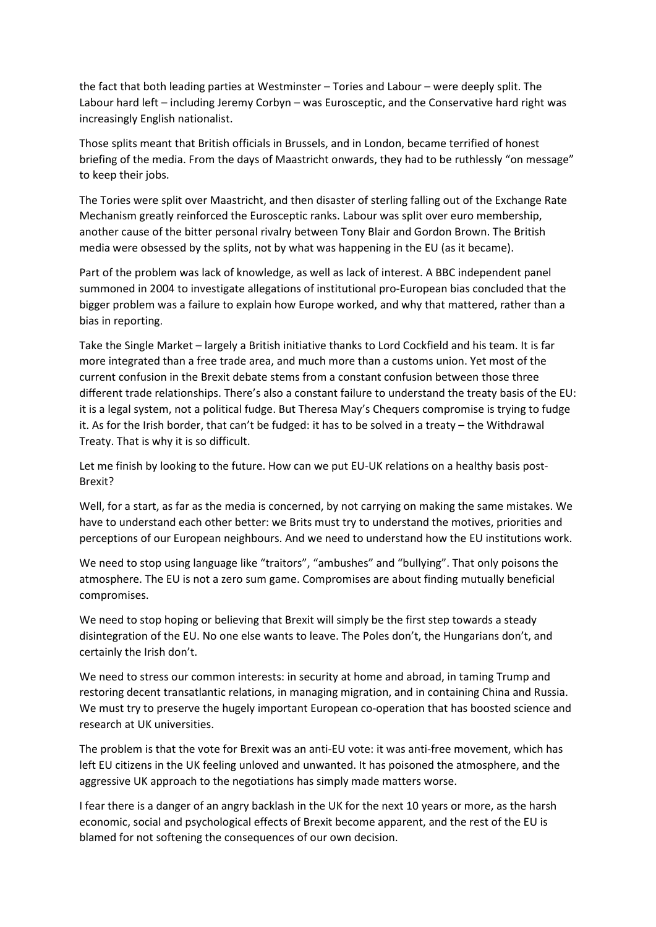the fact that both leading parties at Westminster – Tories and Labour – were deeply split. The Labour hard left – including Jeremy Corbyn – was Eurosceptic, and the Conservative hard right was increasingly English nationalist.

Those splits meant that British officials in Brussels, and in London, became terrified of honest briefing of the media. From the days of Maastricht onwards, they had to be ruthlessly "on message" to keep their jobs.

The Tories were split over Maastricht, and then disaster of sterling falling out of the Exchange Rate Mechanism greatly reinforced the Eurosceptic ranks. Labour was split over euro membership, another cause of the bitter personal rivalry between Tony Blair and Gordon Brown. The British media were obsessed by the splits, not by what was happening in the EU (as it became).

Part of the problem was lack of knowledge, as well as lack of interest. A BBC independent panel summoned in 2004 to investigate allegations of institutional pro-European bias concluded that the bigger problem was a failure to explain how Europe worked, and why that mattered, rather than a bias in reporting.

Take the Single Market – largely a British initiative thanks to Lord Cockfield and his team. It is far more integrated than a free trade area, and much more than a customs union. Yet most of the current confusion in the Brexit debate stems from a constant confusion between those three different trade relationships. There's also a constant failure to understand the treaty basis of the EU: it is a legal system, not a political fudge. But Theresa May's Chequers compromise is trying to fudge it. As for the Irish border, that can't be fudged: it has to be solved in a treaty – the Withdrawal Treaty. That is why it is so difficult.

Let me finish by looking to the future. How can we put EU-UK relations on a healthy basis post-Brexit?

Well, for a start, as far as the media is concerned, by not carrying on making the same mistakes. We have to understand each other better: we Brits must try to understand the motives, priorities and perceptions of our European neighbours. And we need to understand how the EU institutions work.

We need to stop using language like "traitors", "ambushes" and "bullying". That only poisons the atmosphere. The EU is not a zero sum game. Compromises are about finding mutually beneficial compromises.

We need to stop hoping or believing that Brexit will simply be the first step towards a steady disintegration of the EU. No one else wants to leave. The Poles don't, the Hungarians don't, and certainly the Irish don't.

We need to stress our common interests: in security at home and abroad, in taming Trump and restoring decent transatlantic relations, in managing migration, and in containing China and Russia. We must try to preserve the hugely important European co-operation that has boosted science and research at UK universities.

The problem is that the vote for Brexit was an anti-EU vote: it was anti-free movement, which has left EU citizens in the UK feeling unloved and unwanted. It has poisoned the atmosphere, and the aggressive UK approach to the negotiations has simply made matters worse.

I fear there is a danger of an angry backlash in the UK for the next 10 years or more, as the harsh economic, social and psychological effects of Brexit become apparent, and the rest of the EU is blamed for not softening the consequences of our own decision.